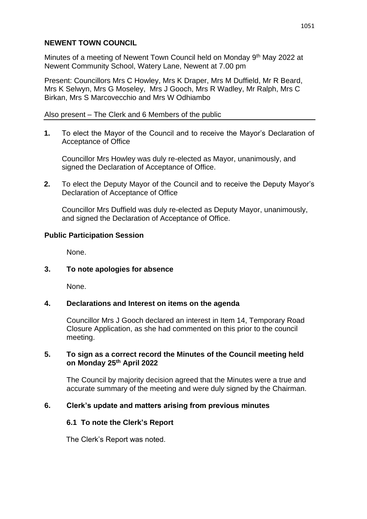# **NEWENT TOWN COUNCIL**

Minutes of a meeting of Newent Town Council held on Monday 9<sup>th</sup> May 2022 at Newent Community School, Watery Lane, Newent at 7.00 pm

Present: Councillors Mrs C Howley, Mrs K Draper, Mrs M Duffield, Mr R Beard, Mrs K Selwyn, Mrs G Moseley, Mrs J Gooch, Mrs R Wadley, Mr Ralph, Mrs C Birkan, Mrs S Marcovecchio and Mrs W Odhiambo

## Also present – The Clerk and 6 Members of the public

**1.** To elect the Mayor of the Council and to receive the Mayor's Declaration of Acceptance of Office

Councillor Mrs Howley was duly re-elected as Mayor, unanimously, and signed the Declaration of Acceptance of Office.

**2.** To elect the Deputy Mayor of the Council and to receive the Deputy Mayor's Declaration of Acceptance of Office

Councillor Mrs Duffield was duly re-elected as Deputy Mayor, unanimously, and signed the Declaration of Acceptance of Office.

# **Public Participation Session**

None.

## **3. To note apologies for absence**

None.

## **4. Declarations and Interest on items on the agenda**

Councillor Mrs J Gooch declared an interest in Item 14, Temporary Road Closure Application, as she had commented on this prior to the council meeting.

## **5. To sign as a correct record the Minutes of the Council meeting held on Monday 25th April 2022**

The Council by majority decision agreed that the Minutes were a true and accurate summary of the meeting and were duly signed by the Chairman.

## **6. Clerk's update and matters arising from previous minutes**

# **6.1 To note the Clerk's Report**

The Clerk's Report was noted.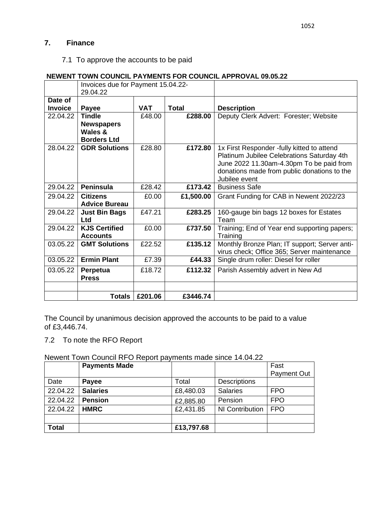# **7. Finance**

# 7.1 To approve the accounts to be paid

#### **NEWENT TOWN COUNCIL PAYMENTS FOR COUNCIL APPROVAL 09.05.22**

|                           | Invoices due for Payment 15.04.22-<br>29.04.22                      |            |              |                                                                                                                                                                                                      |
|---------------------------|---------------------------------------------------------------------|------------|--------------|------------------------------------------------------------------------------------------------------------------------------------------------------------------------------------------------------|
| Date of<br><b>Invoice</b> | Payee                                                               | <b>VAT</b> | <b>Total</b> | <b>Description</b>                                                                                                                                                                                   |
| 22.04.22                  | <b>Tindle</b><br><b>Newspapers</b><br>Wales &<br><b>Borders Ltd</b> | £48.00     | £288.00      | Deputy Clerk Advert: Forester; Website                                                                                                                                                               |
| 28.04.22                  | <b>GDR Solutions</b>                                                | £28.80     | £172.80      | 1x First Responder -fully kitted to attend<br>Platinum Jubilee Celebrations Saturday 4th<br>June 2022 11.30am-4.30pm To be paid from<br>donations made from public donations to the<br>Jubilee event |
| 29.04.22                  | <b>Peninsula</b>                                                    | £28.42     | £173.42      | <b>Business Safe</b>                                                                                                                                                                                 |
| 29.04.22                  | <b>Citizens</b><br><b>Advice Bureau</b>                             | £0.00      | £1,500.00    | Grant Funding for CAB in Newent 2022/23                                                                                                                                                              |
| 29.04.22                  | <b>Just Bin Bags</b><br><b>Ltd</b>                                  | £47.21     | £283.25      | 160-gauge bin bags 12 boxes for Estates<br>Team                                                                                                                                                      |
| 29.04.22                  | <b>KJS Certified</b><br><b>Accounts</b>                             | £0.00      | £737.50      | Training; End of Year end supporting papers;<br>Training                                                                                                                                             |
| 03.05.22                  | <b>GMT Solutions</b>                                                | £22.52     | £135.12      | Monthly Bronze Plan; IT support; Server anti-<br>virus check; Office 365; Server maintenance                                                                                                         |
| 03.05.22                  | <b>Ermin Plant</b>                                                  | £7.39      | £44.33       | Single drum roller: Diesel for roller                                                                                                                                                                |
| 03.05.22                  | Perpetua<br><b>Press</b>                                            | £18.72     | £112.32      | Parish Assembly advert in New Ad                                                                                                                                                                     |
|                           |                                                                     |            |              |                                                                                                                                                                                                      |
|                           | Totals                                                              | £201.06    | £3446.74     |                                                                                                                                                                                                      |

The Council by unanimous decision approved the accounts to be paid to a value of £3,446.74.

7.2 To note the RFO Report

# Newent Town Council RFO Report payments made since 14.04.22

|              | <b>Payments Made</b> |            |                     | Fast        |
|--------------|----------------------|------------|---------------------|-------------|
|              |                      |            |                     | Payment Out |
| Date         | <b>Payee</b>         | Total      | <b>Descriptions</b> |             |
| 22.04.22     | <b>Salaries</b>      | £8,480.03  | <b>Salaries</b>     | <b>FPO</b>  |
| 22.04.22     | <b>Pension</b>       | £2,885.80  | Pension             | <b>FPO</b>  |
| 22.04.22     | <b>HMRC</b>          | £2,431.85  | NI Contribution     | <b>FPO</b>  |
|              |                      |            |                     |             |
| <b>Total</b> |                      | £13,797.68 |                     |             |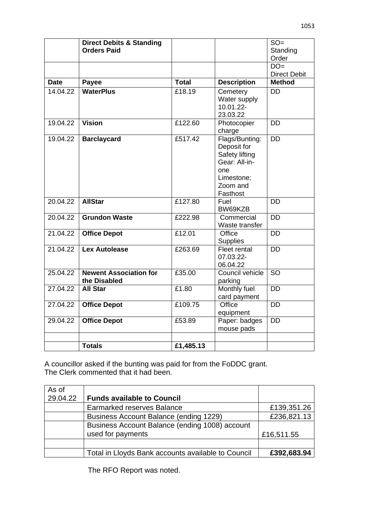|             | <b>Direct Debits &amp; Standing</b><br><b>Orders Paid</b> |              |                                                                                                               | $SO =$<br>Standing<br>Order  |
|-------------|-----------------------------------------------------------|--------------|---------------------------------------------------------------------------------------------------------------|------------------------------|
|             |                                                           |              |                                                                                                               | $DO=$<br><b>Direct Debit</b> |
| <b>Date</b> | Payee                                                     | <b>Total</b> | <b>Description</b>                                                                                            | <b>Method</b>                |
| 14.04.22    | <b>WaterPlus</b>                                          | £18.19       | Cemetery<br>Water supply<br>10.01.22-<br>23.03.22                                                             | <b>DD</b>                    |
| 19.04.22    | <b>Vision</b>                                             | £122.60      | Photocopier<br>charge                                                                                         | <b>DD</b>                    |
| 19.04.22    | <b>Barclaycard</b>                                        | £517.42      | Flags/Bunting:<br>Deposit for<br>Safety lifting<br>Gear: All-in-<br>one<br>Limestone;<br>Zoom and<br>Fasthost | <b>DD</b>                    |
| 20.04.22    | <b>AllStar</b>                                            | £127.80      | Fuel<br>BW69KZB                                                                                               | <b>DD</b>                    |
| 20.04.22    | <b>Grundon Waste</b>                                      | £222.98      | Commercial<br>Waste transfer                                                                                  | <b>DD</b>                    |
| 21.04.22    | <b>Office Depot</b>                                       | £12.01       | Office<br><b>Supplies</b>                                                                                     | <b>DD</b>                    |
| 21.04.22    | <b>Lex Autolease</b>                                      | £263.69      | <b>Fleet rental</b><br>07.03.22-<br>06.04.22                                                                  | <b>DD</b>                    |
| 25.04.22    | <b>Newent Association for</b><br>the Disabled             | £35.00       | Council vehicle<br>parking                                                                                    | <b>SO</b>                    |
| 27.04.22    | <b>All Star</b>                                           | £1.80        | Monthly fuel<br>card payment                                                                                  | <b>DD</b>                    |
| 27.04.22    | <b>Office Depot</b>                                       | £109.75      | Office<br>equipment                                                                                           | <b>DD</b>                    |
| 29.04.22    | <b>Office Depot</b>                                       | £53.89       | Paper: badges<br>mouse pads                                                                                   | <b>DD</b>                    |
|             | <b>Totals</b>                                             | £1,485.13    |                                                                                                               |                              |
|             |                                                           |              |                                                                                                               |                              |

A councillor asked if the bunting was paid for from the FoDDC grant. The Clerk commented that it had been.

| As of    |                                                    |             |
|----------|----------------------------------------------------|-------------|
| 29.04.22 | <b>Funds available to Council</b>                  |             |
|          | <b>Earmarked reserves Balance</b>                  | £139,351.26 |
|          | Business Account Balance (ending 1229)             | £236,821.13 |
|          | Business Account Balance (ending 1008) account     |             |
|          | used for payments                                  | £16,511.55  |
|          |                                                    |             |
|          | Total in Lloyds Bank accounts available to Council | £392,683.94 |

The RFO Report was noted.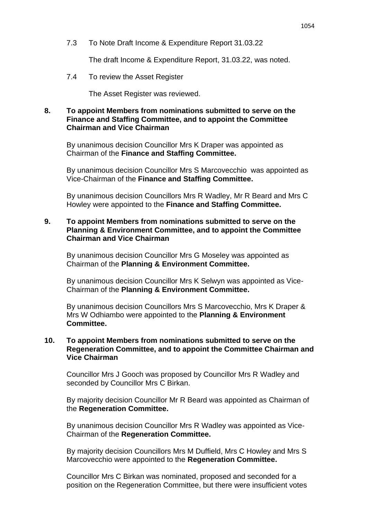7.3 To Note Draft Income & Expenditure Report 31.03.22

The draft Income & Expenditure Report, 31.03.22, was noted.

7.4 To review the Asset Register

The Asset Register was reviewed.

#### **8. To appoint Members from nominations submitted to serve on the Finance and Staffing Committee, and to appoint the Committee Chairman and Vice Chairman**

By unanimous decision Councillor Mrs K Draper was appointed as Chairman of the **Finance and Staffing Committee.**

By unanimous decision Councillor Mrs S Marcovecchio was appointed as Vice-Chairman of the **Finance and Staffing Committee.**

By unanimous decision Councillors Mrs R Wadley, Mr R Beard and Mrs C Howley were appointed to the **Finance and Staffing Committee.**

## **9. To appoint Members from nominations submitted to serve on the Planning & Environment Committee, and to appoint the Committee Chairman and Vice Chairman**

By unanimous decision Councillor Mrs G Moseley was appointed as Chairman of the **Planning & Environment Committee.**

By unanimous decision Councillor Mrs K Selwyn was appointed as Vice-Chairman of the **Planning & Environment Committee.**

By unanimous decision Councillors Mrs S Marcovecchio, Mrs K Draper & Mrs W Odhiambo were appointed to the **Planning & Environment Committee.**

#### **10. To appoint Members from nominations submitted to serve on the Regeneration Committee, and to appoint the Committee Chairman and Vice Chairman**

Councillor Mrs J Gooch was proposed by Councillor Mrs R Wadley and seconded by Councillor Mrs C Birkan.

By majority decision Councillor Mr R Beard was appointed as Chairman of the **Regeneration Committee.**

By unanimous decision Councillor Mrs R Wadley was appointed as Vice-Chairman of the **Regeneration Committee.**

By majority decision Councillors Mrs M Duffield, Mrs C Howley and Mrs S Marcovecchio were appointed to the **Regeneration Committee.**

Councillor Mrs C Birkan was nominated, proposed and seconded for a position on the Regeneration Committee, but there were insufficient votes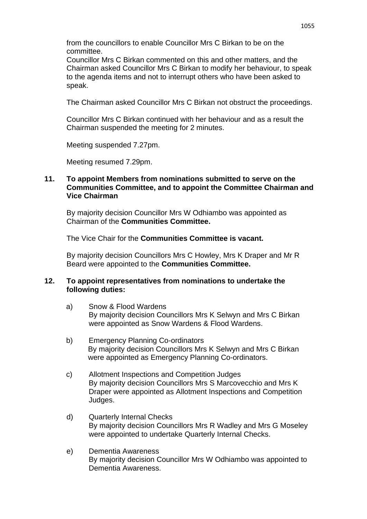from the councillors to enable Councillor Mrs C Birkan to be on the committee.

Councillor Mrs C Birkan commented on this and other matters, and the Chairman asked Councillor Mrs C Birkan to modify her behaviour, to speak to the agenda items and not to interrupt others who have been asked to speak.

The Chairman asked Councillor Mrs C Birkan not obstruct the proceedings.

Councillor Mrs C Birkan continued with her behaviour and as a result the Chairman suspended the meeting for 2 minutes.

Meeting suspended 7.27pm.

Meeting resumed 7.29pm.

#### **11. To appoint Members from nominations submitted to serve on the Communities Committee, and to appoint the Committee Chairman and Vice Chairman**

By majority decision Councillor Mrs W Odhiambo was appointed as Chairman of the **Communities Committee.**

The Vice Chair for the **Communities Committee is vacant.**

By majority decision Councillors Mrs C Howley, Mrs K Draper and Mr R Beard were appointed to the **Communities Committee.**

#### **12. To appoint representatives from nominations to undertake the following duties:**

- a) Snow & Flood Wardens By majority decision Councillors Mrs K Selwyn and Mrs C Birkan were appointed as Snow Wardens & Flood Wardens.
- b) Emergency Planning Co-ordinators By majority decision Councillors Mrs K Selwyn and Mrs C Birkan were appointed as Emergency Planning Co-ordinators.
- c) Allotment Inspections and Competition Judges By majority decision Councillors Mrs S Marcovecchio and Mrs K Draper were appointed as Allotment Inspections and Competition Judges.
- d) Quarterly Internal Checks By majority decision Councillors Mrs R Wadley and Mrs G Moseley were appointed to undertake Quarterly Internal Checks.
- e) Dementia Awareness By majority decision Councillor Mrs W Odhiambo was appointed to Dementia Awareness.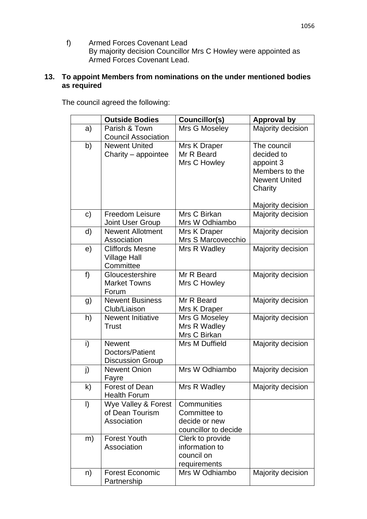f) Armed Forces Covenant Lead By majority decision Councillor Mrs C Howley were appointed as Armed Forces Covenant Lead.

# **13. To appoint Members from nominations on the under mentioned bodies as required**

The council agreed the following:

|              | <b>Outside Bodies</b>                                       | Councillor(s)                                                        | <b>Approval by</b>                                                                                               |
|--------------|-------------------------------------------------------------|----------------------------------------------------------------------|------------------------------------------------------------------------------------------------------------------|
| a)           | Parish & Town<br><b>Council Association</b>                 | Mrs G Moseley                                                        | Majority decision                                                                                                |
| b)           | <b>Newent United</b><br>Charity - appointee                 | Mrs K Draper<br>Mr R Beard<br>Mrs C Howley                           | The council<br>decided to<br>appoint 3<br>Members to the<br><b>Newent United</b><br>Charity<br>Majority decision |
| c)           | <b>Freedom Leisure</b><br>Joint User Group                  | Mrs C Birkan<br>Mrs W Odhiambo                                       | Majority decision                                                                                                |
| d)           | <b>Newent Allotment</b><br>Association                      | Mrs K Draper<br>Mrs S Marcovecchio                                   | Majority decision                                                                                                |
| e)           | <b>Cliffords Mesne</b><br><b>Village Hall</b><br>Committee  | Mrs R Wadley                                                         | Majority decision                                                                                                |
| f)           | Gloucestershire<br><b>Market Towns</b><br>Forum             | Mr R Beard<br>Mrs C Howley                                           | Majority decision                                                                                                |
| g)           | <b>Newent Business</b><br>Club/Liaison                      | Mr R Beard<br>Mrs K Draper                                           | Majority decision                                                                                                |
| h)           | <b>Newent Initiative</b><br><b>Trust</b>                    | Mrs G Moseley<br>Mrs R Wadley<br>Mrs C Birkan                        | Majority decision                                                                                                |
| i)           | <b>Newent</b><br>Doctors/Patient<br><b>Discussion Group</b> | Mrs M Duffield                                                       | Majority decision                                                                                                |
| j)           | <b>Newent Onion</b><br>Fayre                                | Mrs W Odhiambo                                                       | Majority decision                                                                                                |
| $\mathsf{k}$ | <b>Forest of Dean</b><br><b>Health Forum</b>                | Mrs R Wadley                                                         | Majority decision                                                                                                |
| $\vert$      | Wye Valley & Forest<br>of Dean Tourism<br>Association       | Communities<br>Committee to<br>decide or new<br>councillor to decide |                                                                                                                  |
| m)           | <b>Forest Youth</b><br>Association                          | Clerk to provide<br>information to<br>council on<br>requirements     |                                                                                                                  |
| n)           | <b>Forest Economic</b><br>Partnership                       | Mrs W Odhiambo                                                       | Majority decision                                                                                                |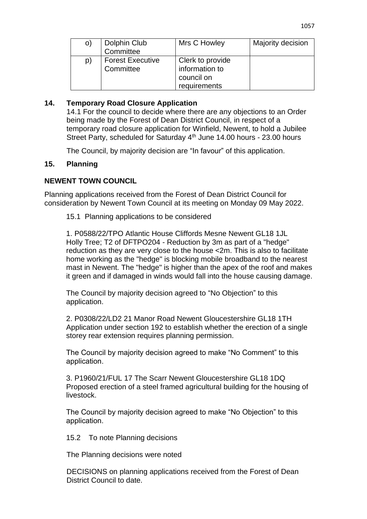| O) | Dolphin Club<br>Committee            | Mrs C Howley                                                     | Majority decision |
|----|--------------------------------------|------------------------------------------------------------------|-------------------|
| p) | <b>Forest Executive</b><br>Committee | Clerk to provide<br>information to<br>council on<br>requirements |                   |

# **14. Temporary Road Closure Application**

14.1 For the council to decide where there are any objections to an Order being made by the Forest of Dean District Council, in respect of a temporary road closure application for Winfield, Newent, to hold a Jubilee Street Party, scheduled for Saturday 4<sup>th</sup> June 14.00 hours - 23.00 hours

The Council, by majority decision are "In favour" of this application.

## **15. Planning**

# **NEWENT TOWN COUNCIL**

Planning applications received from the Forest of Dean District Council for consideration by Newent Town Council at its meeting on Monday 09 May 2022.

15.1 Planning applications to be considered

1. P0588/22/TPO Atlantic House Cliffords Mesne Newent GL18 1JL Holly Tree; T2 of DFTPO204 - Reduction by 3m as part of a "hedge" reduction as they are very close to the house <2m. This is also to facilitate home working as the "hedge" is blocking mobile broadband to the nearest mast in Newent. The "hedge" is higher than the apex of the roof and makes it green and if damaged in winds would fall into the house causing damage.

The Council by majority decision agreed to "No Objection" to this application.

2. P0308/22/LD2 21 Manor Road Newent Gloucestershire GL18 1TH Application under section 192 to establish whether the erection of a single storey rear extension requires planning permission.

The Council by majority decision agreed to make "No Comment" to this application.

3. P1960/21/FUL 17 The Scarr Newent Gloucestershire GL18 1DQ Proposed erection of a steel framed agricultural building for the housing of livestock.

The Council by majority decision agreed to make "No Objection" to this application.

15.2 To note Planning decisions

The Planning decisions were noted

DECISIONS on planning applications received from the Forest of Dean District Council to date.